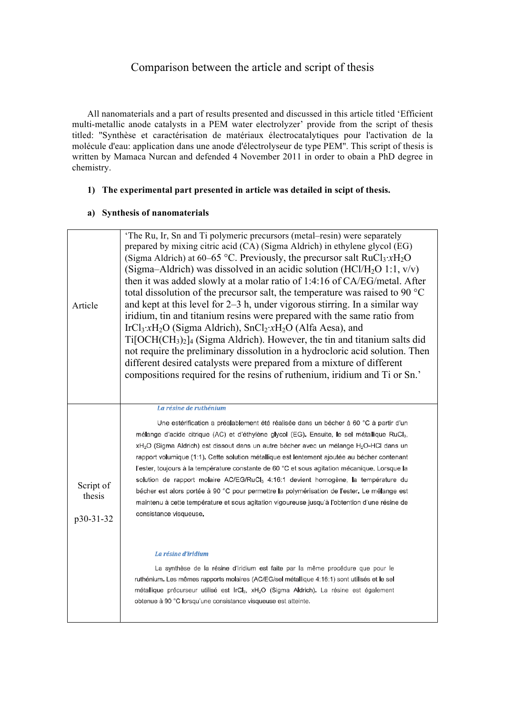# Comparison between the article and script of thesis

All nanomaterials and a part of results presented and discussed in this article titled 'Efficient multi-metallic anode catalysts in a PEM water electrolyzer' provide from the script of thesis titled: ''Synthèse et caractérisation de matériaux électrocatalytiques pour l'activation de la molécule d'eau: application dans une anode d'électrolyseur de type PEM''. This script of thesis is written by Mamaca Nurcan and defended 4 November 2011 in order to obain a PhD degree in chemistry.

#### **1) The experimental part presented in article was detailed in scipt of thesis.**

#### **a) Synthesis of nanomaterials**

| Article                          | (Sigma–Aldrich) was dissolved in an acidic solution (HCl/H <sub>2</sub> O 1:1, $v/v$ )<br>then it was added slowly at a molar ratio of 1:4:16 of CA/EG/metal. After<br>total dissolution of the precursor salt, the temperature was raised to 90 $^{\circ}$ C<br>and kept at this level for 2–3 h, under vigorous stirring. In a similar way<br>iridium, tin and titanium resins were prepared with the same ratio from<br>IrCl <sub>3</sub> : $xH_2O$ (Sigma Aldrich), SnCl <sub>2</sub> : $xH_2O$ (Alfa Aesa), and<br>$Ti[OCH(CH3)2]$ (Sigma Aldrich). However, the tin and titanium salts did<br>not require the preliminary dissolution in a hydrocloric acid solution. Then<br>different desired catalysts were prepared from a mixture of different<br>compositions required for the resins of ruthenium, iridium and Ti or Sn.'                                                                                                                                                                                                                                             |
|----------------------------------|------------------------------------------------------------------------------------------------------------------------------------------------------------------------------------------------------------------------------------------------------------------------------------------------------------------------------------------------------------------------------------------------------------------------------------------------------------------------------------------------------------------------------------------------------------------------------------------------------------------------------------------------------------------------------------------------------------------------------------------------------------------------------------------------------------------------------------------------------------------------------------------------------------------------------------------------------------------------------------------------------------------------------------------------------------------------------------|
| Script of<br>thesis<br>p30-31-32 | La résine de ruthénium<br>Une estérification a préalablement été réalisée dans un bécher à 60 °C à partir d'un<br>mélange d'acide citrique (AC) et d'éthylène glycol (EG). Ensuite, le sel métallique RuCl <sub>3</sub> ,<br>xH <sub>2</sub> O (Sigma Aldrich) est dissout dans un autre bécher avec un mélange H <sub>2</sub> O-HCl dans un<br>rapport volumique (1:1). Cette solution métallique est lentement ajoutée au bécher contenant<br>l'ester, toujours à la température constante de 60 °C et sous agitation mécanique. Lorsque la<br>solution de rapport molaire AC/EG/RuCl <sub>3</sub> 4:16:1 devient homogène, la température du<br>bécher est alors portée à 90 °C pour permettre la polymérisation de l'ester. Le mélange est<br>maintenu à cette température et sous agitation vigoureuse jusqu'à l'obtention d'une résine de<br>consistance visqueuse.<br>La résine d'iridium<br>La synthèse de la résine d'iridium est faite par la même procédure que pour le<br>ruthénium. Les mêmes rapports molaires (AC/EG/sel métallique 4:16:1) sont utilisés et le sel |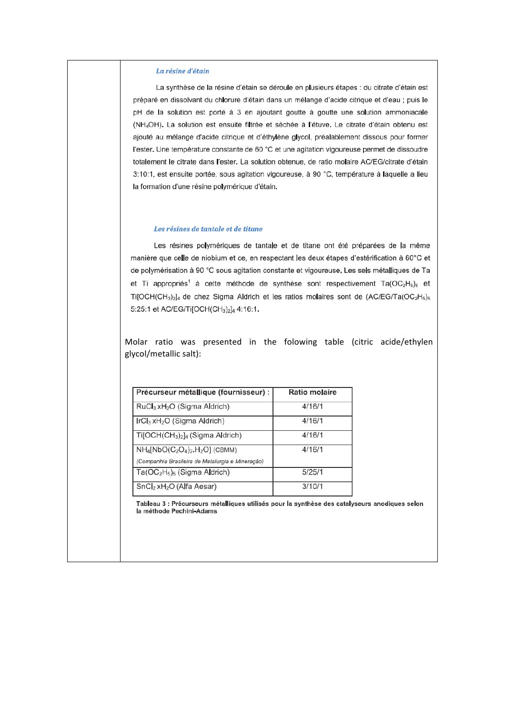#### La résine d'étain

La synthèse de la résine d'étain se déroule en plusieurs étapes : du citrate d'étain est préparé en dissolvant du chlorure d'étain dans un mélange d'acide citrique et d'eau ; puis le pH de la solution est porté à 3 en ajoutant goutte à goutte une solution ammoniacale (NH<sub>4</sub>OH). La solution est ensuite filtrée et séchée à l'étuve. Le citrate d'étain obtenu est ajouté au mélange d'acide citrique et d'éthylène glycol, préalablement dissous pour former l'ester. Une température constante de 60 °C et une agitation vigoureuse permet de dissoudre totalement le citrate dans l'ester. La solution obtenue, de ratio molaire AC/EG/citrate d'étain 3:10:1, est ensuite portée, sous agitation vigoureuse, à 90 °C, température à laquelle a lieu la formation d'une résine polymérique d'étain.

#### Les résines de tantale et de titane

Les résines polymériques de tantale et de titane ont été préparées de la même manière que celle de niobium et ce, en respectant les deux étapes d'estérification à 60°C et de polymérisation à 90 °C sous agitation constante et vigoureuse. Les sels métalliques de Ta et Ti appropriés<sup>1</sup> à cette méthode de synthèse sont respectivement Ta(OC<sub>2</sub>H<sub>5</sub>)<sub>5</sub> et Ti[OCH(CH<sub>3</sub>)<sub>2</sub>]<sub>4</sub> de chez Sigma Aldrich et les ratios molaires sont de (AC/EG/Ta(OC<sub>2</sub>H<sub>5</sub>)<sub>5</sub> 5:25:1 et AC/EG/Ti[OCH(CH<sub>3</sub>)<sub>2</sub>]<sub>4</sub> 4:16:1.

Molar ratio was presented in the folowing table (citric acide/ethylen glycol/metallic salt):

| Précurseur métallique (fournisseur) :                                | <b>Ratio molaire</b> |
|----------------------------------------------------------------------|----------------------|
| $RuCl3 xH2O$ (Sigma Aldrich)                                         | 4/16/1               |
| $\text{IrCl}_3$ xH <sub>2</sub> O (Sigma Aldrich)                    | 4/16/1               |
| Ti[OCH(CH <sub>3</sub> ) <sub>2</sub> ] <sub>4</sub> (Sigma Aldrich) | 4/16/1               |
| $NH_4[NbO(C_2O_4)_2.H_2O]$ (CBMM)                                    | 4/16/1               |
| (Companhia Brasileira de Metalurgia e Mineração)                     |                      |
| $Ta(OC2H5)5$ (Sigma Aldrich)                                         | 5/25/1               |
| SnCl <sub>2</sub> xH <sub>2</sub> O (Alfa Aesar)                     | 3/10/1               |

Tableau 3 : Précurseurs métalliques utilisés pour la synthèse des catalyseurs anodiques selon la méthode Pechini-Adams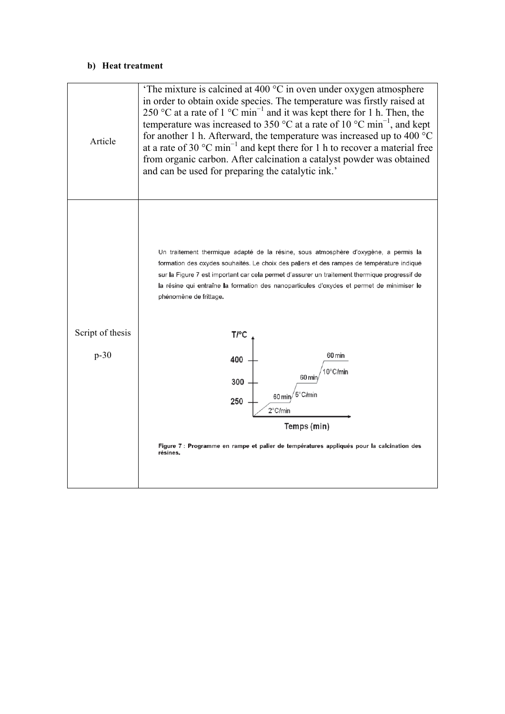#### **b) Heat treatment**

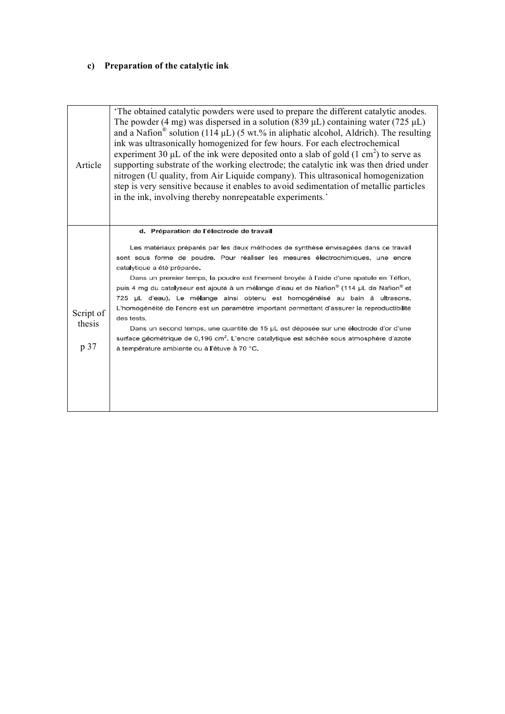# **c) Preparation of the catalytic ink**

| and a Nafion <sup>®</sup> solution (114 $\mu$ L) (5 wt.% in aliphatic alcohol, Aldrich). The resulting<br>Article | ink was ultrasonically homogenized for few hours. For each electrochemical<br>experiment 30 $\mu$ L of the ink were deposited onto a slab of gold (1 cm <sup>2</sup> ) to serve as<br>supporting substrate of the working electrode; the catalytic ink was then dried under<br>nitrogen (U quality, from Air Liquide company). This ultrasonical homogenization<br>step is very sensitive because it enables to avoid sedimentation of metallic particles<br>in the ink, involving thereby nonrepeatable experiments.                                                                                                                                                                                                                                                                                                                                                                   |
|-------------------------------------------------------------------------------------------------------------------|-----------------------------------------------------------------------------------------------------------------------------------------------------------------------------------------------------------------------------------------------------------------------------------------------------------------------------------------------------------------------------------------------------------------------------------------------------------------------------------------------------------------------------------------------------------------------------------------------------------------------------------------------------------------------------------------------------------------------------------------------------------------------------------------------------------------------------------------------------------------------------------------|
| Script of<br>thesis<br>p 37                                                                                       | d. Préparation de l'électrode de travail<br>Les matériaux préparés par les deux méthodes de synthèse envisagées dans ce travail<br>sont sous forme de poudre. Pour réaliser les mesures électrochimiques, une encre<br>catalytique a été préparée.<br>Dans un premier temps, la poudre est finement broyée à l'aide d'une spatule en Téflon,<br>puis 4 mg du catalyseur est ajouté à un mélange d'eau et de Nafion® (114 µL de Nafion® et<br>725 µL d'eau). Le mélange ainsi obtenu est homogénéisé au bain à ultrasons.<br>L'homogénéité de l'encre est un paramètre important permettant d'assurer la reproductibilité<br>des tests.<br>Dans un second temps, une quantité de 15 µL est déposée sur une électrode d'or d'une<br>surface géométrique de 0,196 cm <sup>2</sup> . L'encre catalytique est séchée sous atmosphère d'azote<br>à température ambiante ou à l'étuve à 70 °C. |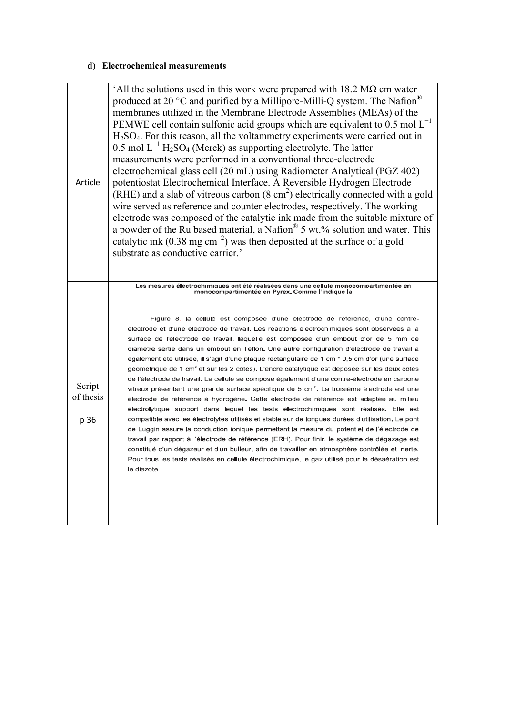### **d) Electrochemical measurements**

| Article                     | All the solutions used in this work were prepared with $18.2 M\Omega$ cm water<br>produced at 20 $\mathrm{^{\circ}C}$ and purified by a Millipore-Milli-Q system. The Nafion<br>membranes utilized in the Membrane Electrode Assemblies (MEAs) of the<br>PEMWE cell contain sulfonic acid groups which are equivalent to 0.5 mol $L^{-1}$<br>$H2SO4$ . For this reason, all the voltammetry experiments were carried out in<br>$0.5$ mol $L^{-1}$ H <sub>2</sub> SO <sub>4</sub> (Merck) as supporting electrolyte. The latter<br>measurements were performed in a conventional three-electrode<br>electrochemical glass cell (20 mL) using Radiometer Analytical (PGZ 402)<br>potentiostat Electrochemical Interface. A Reversible Hydrogen Electrode<br>(RHE) and a slab of vitreous carbon $(8 \text{ cm}^2)$ electrically connected with a gold<br>wire served as reference and counter electrodes, respectively. The working<br>electrode was composed of the catalytic ink made from the suitable mixture of<br>a powder of the Ru based material, a Nafion <sup>®</sup> 5 wt.% solution and water. This<br>catalytic ink $(0.38 \text{ mg cm}^{-2})$ was then deposited at the surface of a gold<br>substrate as conductive carrier.'                                                                                                                                                                                                                                                                                                                                                                                                     |
|-----------------------------|--------------------------------------------------------------------------------------------------------------------------------------------------------------------------------------------------------------------------------------------------------------------------------------------------------------------------------------------------------------------------------------------------------------------------------------------------------------------------------------------------------------------------------------------------------------------------------------------------------------------------------------------------------------------------------------------------------------------------------------------------------------------------------------------------------------------------------------------------------------------------------------------------------------------------------------------------------------------------------------------------------------------------------------------------------------------------------------------------------------------------------------------------------------------------------------------------------------------------------------------------------------------------------------------------------------------------------------------------------------------------------------------------------------------------------------------------------------------------------------------------------------------------------------------------------------------------------------------------------------------------------------------------|
| Script<br>of thesis<br>p 36 | Les mesures électrochimiques ont été réalisées dans une cellule monocompartimentée en<br>monocompartimentée en Pyrex. Comme l'indique la<br>Figure 8, la cellule est composée d'une électrode de référence, d'une contre-<br>électrode et d'une électrode de travail. Les réactions électrochimiques sont observées à la<br>surface de l'électrode de travail, laquelle est composée d'un embout d'or de 5 mm de<br>diamètre sertie dans un embout en Téflon. Une autre configuration d'électrode de travail a<br>également été utilisée, il s'agit d'une plaque rectangulaire de 1 cm * 0,5 cm d'or (une surface<br>géométrique de 1 cm <sup>2</sup> et sur les 2 côtés). L'encre catalytique est déposée sur les deux côtés<br>de l'électrode de travail. La cellule se compose également d'une contre-électrode en carbone<br>vitreux présentant une grande surface spécifique de 5 cm <sup>2</sup> . La troisième électrode est une<br>électrode de référence à hydrogène. Cette électrode de référence est adaptée au milieu<br>électrolytique support dans lequel les tests électrochimiques sont réalisés. Elle est<br>compatible avec les électrolytes utilisés et stable sur de longues durées d'utilisation. Le pont<br>de Luggin assure la conduction ionique permettant la mesure du potentiel de l'électrode de<br>travail par rapport à l'électrode de référence (ERH). Pour finir, le système de dégazage est<br>constitué d'un dégazeur et d'un bulleur, afin de travailler en atmosphère contrôlée et inerte.<br>Pour tous les tests réalisés en cellule électrochimique, le gaz utilisé pour la désaération est<br>le diazote. |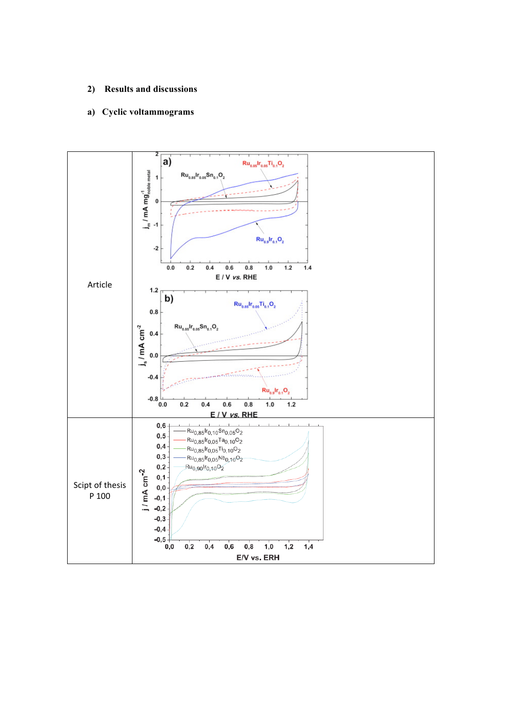#### **2) Results and discussions**

## **a) Cyclic voltammograms**